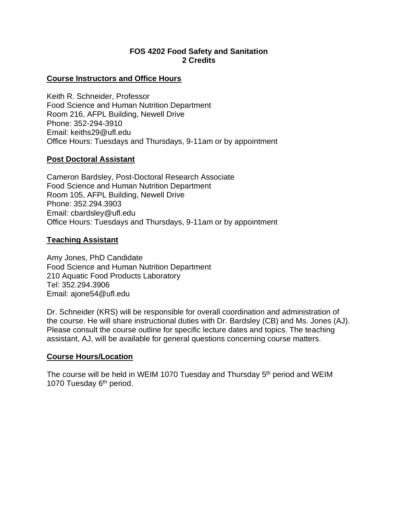## **FOS 4202 Food Safety and Sanitation 2 Credits**

## **Course Instructors and Office Hours**

Keith R. Schneider, Professor Food Science and Human Nutrition Department Room 216, AFPL Building, Newell Drive Phone: 352-294-3910 Email: keiths29@ufl.edu Office Hours: Tuesdays and Thursdays, 9-11am or by appointment

## **Post Doctoral Assistant**

Cameron Bardsley, Post-Doctoral Research Associate Food Science and Human Nutrition Department Room 105, AFPL Building, Newell Drive Phone: 352.294.3903 Email: cbardsley@ufl.edu Office Hours: Tuesdays and Thursdays, 9-11am or by appointment

## **Teaching Assistant**

Amy Jones, PhD Candidate Food Science and Human Nutrition Department 210 Aquatic Food Products Laboratory Tel: 352.294.3906 Email: ajone54@ufl.edu

Dr. Schneider (KRS) will be responsible for overall coordination and administration of the course. He will share instructional duties with Dr. Bardsley (CB) and Ms. Jones (AJ). Please consult the course outline for specific lecture dates and topics. The teaching assistant, AJ, will be available for general questions concerning course matters.

# **Course Hours/Location**

The course will be held in WEIM 1070 Tuesday and Thursday 5<sup>th</sup> period and WEIM 1070 Tuesday 6<sup>th</sup> period.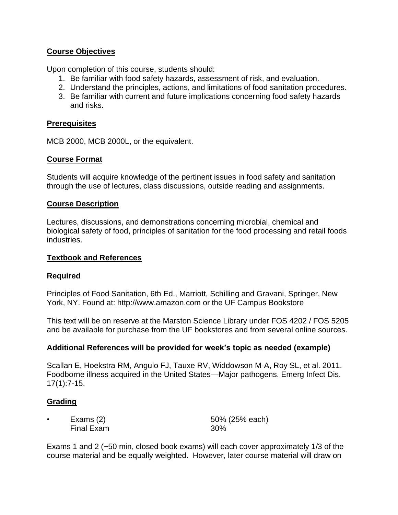# **Course Objectives**

Upon completion of this course, students should:

- 1. Be familiar with food safety hazards, assessment of risk, and evaluation.
- 2. Understand the principles, actions, and limitations of food sanitation procedures.
- 3. Be familiar with current and future implications concerning food safety hazards and risks.

## **Prerequisites**

MCB 2000, MCB 2000L, or the equivalent.

## **Course Format**

Students will acquire knowledge of the pertinent issues in food safety and sanitation through the use of lectures, class discussions, outside reading and assignments.

#### **Course Description**

Lectures, discussions, and demonstrations concerning microbial, chemical and biological safety of food, principles of sanitation for the food processing and retail foods industries.

#### **Textbook and References**

## **Required**

Principles of Food Sanitation, 6th Ed., Marriott, Schilling and Gravani, Springer, New York, NY. Found at: http://www.amazon.com or the UF Campus Bookstore

This text will be on reserve at the Marston Science Library under FOS 4202 / FOS 5205 and be available for purchase from the UF bookstores and from several online sources.

## **Additional References will be provided for week's topic as needed (example)**

Scallan E, Hoekstra RM, Angulo FJ, Tauxe RV, Widdowson M-A, Roy SL, et al. 2011. Foodborne illness acquired in the United States—Major pathogens. Emerg Infect Dis. 17(1):7-15.

## **Grading**

| Exams (2)  | 50% (25% each) |
|------------|----------------|
| Final Exam | 30%            |

Exams 1 and 2 (~50 min, closed book exams) will each cover approximately 1/3 of the course material and be equally weighted. However, later course material will draw on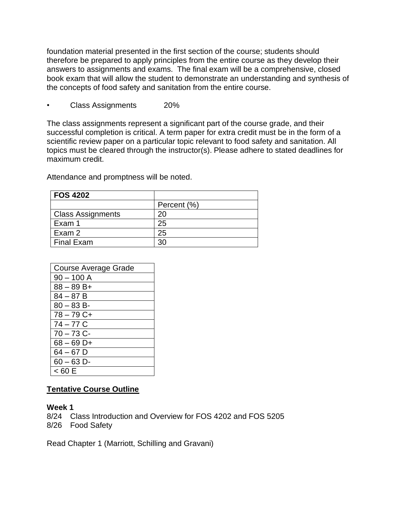foundation material presented in the first section of the course; students should therefore be prepared to apply principles from the entire course as they develop their answers to assignments and exams. The final exam will be a comprehensive, closed book exam that will allow the student to demonstrate an understanding and synthesis of the concepts of food safety and sanitation from the entire course.

• Class Assignments 20%

The class assignments represent a significant part of the course grade, and their successful completion is critical. A term paper for extra credit must be in the form of a scientific review paper on a particular topic relevant to food safety and sanitation. All topics must be cleared through the instructor(s). Please adhere to stated deadlines for maximum credit.

Attendance and promptness will be noted.

| <b>FOS 4202</b>          |             |
|--------------------------|-------------|
|                          | Percent (%) |
| <b>Class Assignments</b> | 20          |
| Exam 1                   | 25          |
| Exam 2                   | 25          |
| <b>Final Exam</b>        | 30          |

| <b>Course Average Grade</b> |  |  |
|-----------------------------|--|--|
| $90 - 100$ A                |  |  |
| $88 - 89B +$                |  |  |
| $84 - 87B$                  |  |  |
| $80 - 83 B$ -               |  |  |
| $78 - 79C +$                |  |  |
| 74 – 77 C                   |  |  |
| $70 - 73$ C-                |  |  |
| $68 - 69$ D+                |  |  |
| $64 - 67$ D                 |  |  |
| $60 - 63$ D-                |  |  |
| < 60 E                      |  |  |

# **Tentative Course Outline**

## **Week 1**

8/24 Class Introduction and Overview for FOS 4202 and FOS 5205

8/26 Food Safety

Read Chapter 1 (Marriott, Schilling and Gravani)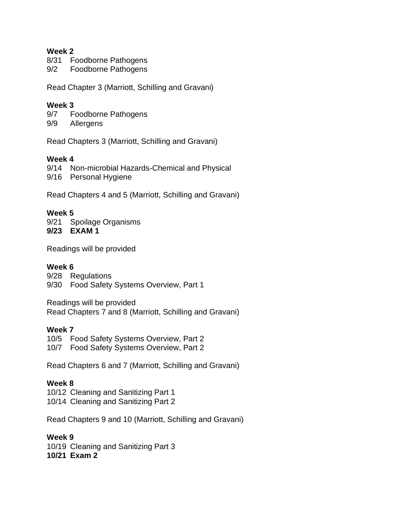## **Week 2**

- 8/31 Foodborne Pathogens
- 9/2 Foodborne Pathogens

Read Chapter 3 (Marriott, Schilling and Gravani)

## **Week 3**

- 9/7 Foodborne Pathogens
- 9/9 Allergens

Read Chapters 3 (Marriott, Schilling and Gravani)

## **Week 4**

9/14 Non-microbial Hazards-Chemical and Physical

9/16 Personal Hygiene

Read Chapters 4 and 5 (Marriott, Schilling and Gravani)

## **Week 5**

9/21 Spoilage Organisms **9/23 EXAM 1**

Readings will be provided

## **Week 6**

9/28 Regulations 9/30 Food Safety Systems Overview, Part 1

Readings will be provided Read Chapters 7 and 8 (Marriott, Schilling and Gravani)

## **Week 7**

10/5 Food Safety Systems Overview, Part 2

10/7 Food Safety Systems Overview, Part 2

Read Chapters 6 and 7 (Marriott, Schilling and Gravani)

## **Week 8**

10/12 Cleaning and Sanitizing Part 1

10/14 Cleaning and Sanitizing Part 2

Read Chapters 9 and 10 (Marriott, Schilling and Gravani)

## **Week 9**

10/19 Cleaning and Sanitizing Part 3 **10/21 Exam 2**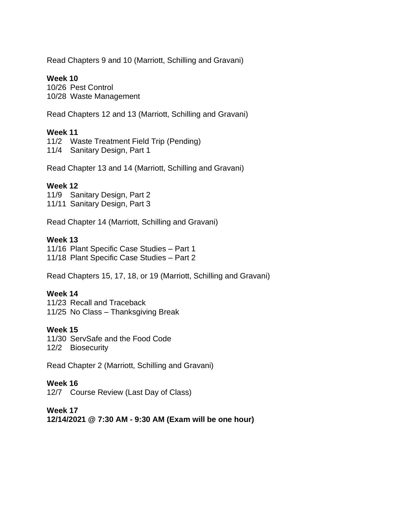Read Chapters 9 and 10 (Marriott, Schilling and Gravani)

## **Week 10**

10/26 Pest Control 10/28 Waste Management

Read Chapters 12 and 13 (Marriott, Schilling and Gravani)

## **Week 11**

11/2 Waste Treatment Field Trip (Pending)

11/4 Sanitary Design, Part 1

Read Chapter 13 and 14 (Marriott, Schilling and Gravani)

## **Week 12**

11/9 Sanitary Design, Part 2 11/11 Sanitary Design, Part 3

Read Chapter 14 (Marriott, Schilling and Gravani)

## **Week 13**

11/16 Plant Specific Case Studies – Part 1 11/18 Plant Specific Case Studies – Part 2

Read Chapters 15, 17, 18, or 19 (Marriott, Schilling and Gravani)

## **Week 14**

11/23 Recall and Traceback 11/25 No Class – Thanksgiving Break

# **Week 15**

11/30 ServSafe and the Food Code 12/2 Biosecurity

Read Chapter 2 (Marriott, Schilling and Gravani)

# **Week 16**

12/7 Course Review (Last Day of Class)

## **Week 17**

**12/14/2021 @ 7:30 AM - 9:30 AM (Exam will be one hour)**